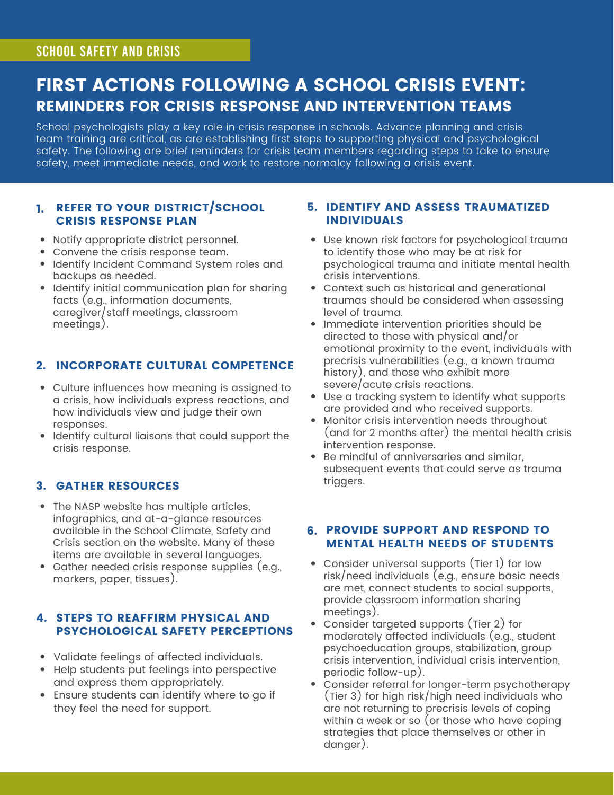## FIRST ACTIONS FOLLOWING A SCHOOL CRISIS EVENT: REMINDERS FOR CRISIS RESPONSE AND INTERVENTION TEAMS

School psychologists play a key role in crisis response in schools. Advance planning and crisis team training are critical, as are establishing first steps to supporting physical and psychological safety. The following are brief reminders for crisis team members regarding steps to take to ensure safety, meet immediate needs, and work to restore normalcy following a crisis event.

### 1. REFER TO YOUR DISTRICT/SCHOOL CRISIS RESPONSE PLAN

- Notify appropriate district personnel.
- Convene the crisis response team.
- Identify Incident Command System roles and backups as needed.
- Identify initial communication plan for sharing facts (e.g., information documents, caregiver/staff meetings, classroom meetings).

## 2. INCORPORATE CULTURAL COMPETENCE

- Culture influences how meaning is assigned to a crisis, how individuals express reactions, and how individuals view and judge their own responses.
- Identify cultural liaisons that could support the crisis response.

## 3. GATHER RESOURCES

- The NASP website has multiple articles, infographics, and at-a-glance resources [available](https://www.nasponline.org/resources-and-publications/resources-and-podcasts/school-climate-safety-and-crisis) in the School Climate, Safety and Crisis section on the website. Many of these items are available in several languages.
- Gather needed crisis response supplies (e.g., markers, paper, tissues).

## 4. STEPS TO REAFFIRM PHYSICAL AND PSYCHOLOGICAL SAFETY PERCEPTIONS

- Validate feelings of affected individuals.
- Help students put feelings into perspective and express them appropriately.
- Ensure students can identify where to go if they feel the need for support.

### 5. IDENTIFY AND ASSESS TRAUMATIZED INDIVIDUALS

- Use known risk factors for psychological trauma to identify those who may be at risk for psychological trauma and initiate mental health crisis interventions.
- Context such as historical and generational traumas should be considered when assessing level of trauma.
- Immediate intervention priorities should be directed to those with physical and/or emotional proximity to the event, individuals with precrisis vulnerabilities (e.g., a known trauma history), and those who exhibit more severe/acute crisis reactions.
- Use a tracking system to identify what supports are provided and who received supports.
- Monitor crisis intervention needs throughout (and for 2 months after) the mental health crisis intervention response.
- Be mindful of anniversaries and similar, subsequent events that could serve as trauma triggers.

### 6. PROVIDE SUPPORT AND RESPOND TO MENTAL HEALTH NEEDS OF STUDENTS

- Consider universal supports (Tier 1) for low risk/need individuals (e.g., ensure basic needs are met, connect students to social supports, provide classroom information sharing meetings).
- Consider targeted supports (Tier 2) for moderately affected individuals (e.g., student psychoeducation groups, stabilization, group crisis intervention, individual crisis intervention, periodic follow-up).
- Consider referral for longer-term psychotherapy (Tier 3) for high risk/high need individuals who are not returning to precrisis levels of coping within a week or so (or those who have coping strategies that place themselves or other in danger).